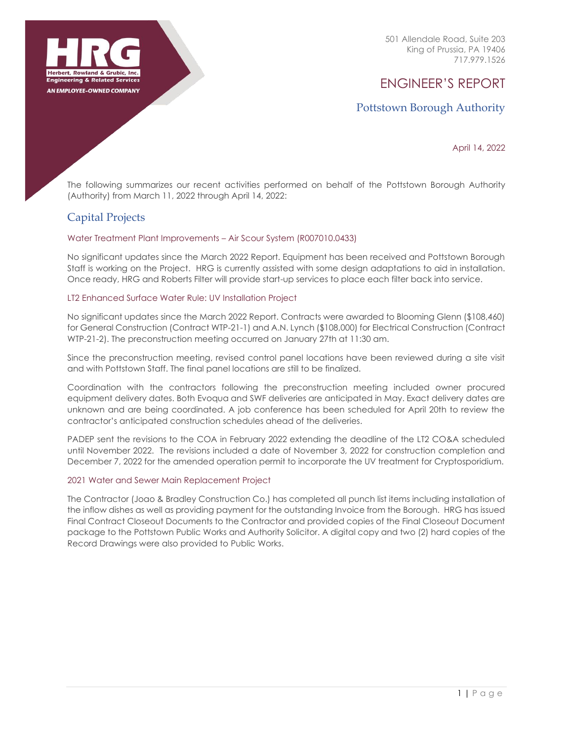

501 Allendale Road, Suite 203 King of Prussia, PA 19406 717.979.1526

# ENGINEER'S REPORT

# Pottstown Borough Authority

April 14, 2022

The following summarizes our recent activities performed on behalf of the Pottstown Borough Authority (Authority) from March 11, 2022 through April 14, 2022:

# Capital Projects

### Water Treatment Plant Improvements – Air Scour System (R007010.0433)

No significant updates since the March 2022 Report. Equipment has been received and Pottstown Borough Staff is working on the Project. HRG is currently assisted with some design adaptations to aid in installation. Once ready, HRG and Roberts Filter will provide start-up services to place each filter back into service.

### LT2 Enhanced Surface Water Rule: UV Installation Project

No significant updates since the March 2022 Report. Contracts were awarded to Blooming Glenn (\$108,460) for General Construction (Contract WTP-21-1) and A.N. Lynch (\$108,000) for Electrical Construction (Contract WTP-21-2). The preconstruction meeting occurred on January 27th at 11:30 am.

Since the preconstruction meeting, revised control panel locations have been reviewed during a site visit and with Pottstown Staff. The final panel locations are still to be finalized.

Coordination with the contractors following the preconstruction meeting included owner procured equipment delivery dates. Both Evoqua and SWF deliveries are anticipated in May. Exact delivery dates are unknown and are being coordinated. A job conference has been scheduled for April 20th to review the contractor's anticipated construction schedules ahead of the deliveries.

PADEP sent the revisions to the COA in February 2022 extending the deadline of the LT2 CO&A scheduled until November 2022. The revisions included a date of November 3, 2022 for construction completion and December 7, 2022 for the amended operation permit to incorporate the UV treatment for Cryptosporidium.

### 2021 Water and Sewer Main Replacement Project

The Contractor (Joao & Bradley Construction Co.) has completed all punch list items including installation of the inflow dishes as well as providing payment for the outstanding Invoice from the Borough. HRG has issued Final Contract Closeout Documents to the Contractor and provided copies of the Final Closeout Document package to the Pottstown Public Works and Authority Solicitor. A digital copy and two (2) hard copies of the Record Drawings were also provided to Public Works.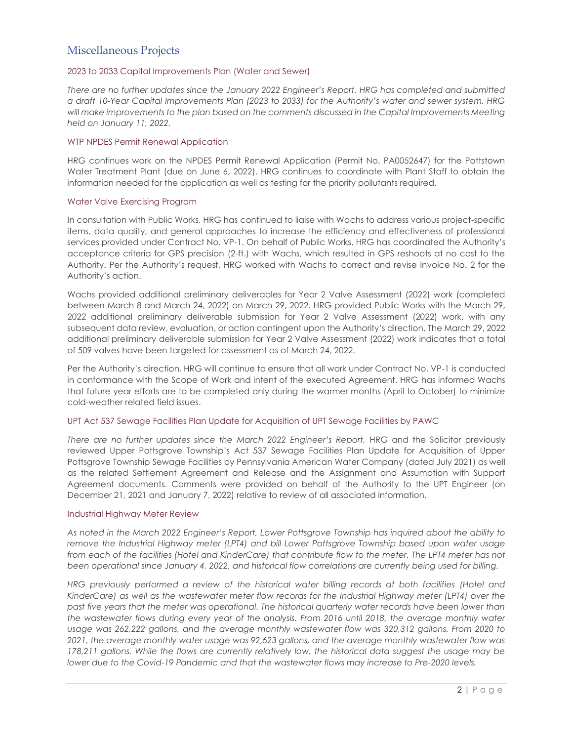# Miscellaneous Projects

### 2023 to 2033 Capital Improvements Plan (Water and Sewer)

*There are no further updates since the January 2022 Engineer's Report. HRG has completed and submitted a draft 10-Year Capital Improvements Plan (2023 to 2033) for the Authority's water and sewer system. HRG will make improvements to the plan based on the comments discussed in the Capital Improvements Meeting held on January 11, 2022.*

#### WTP NPDES Permit Renewal Application

HRG continues work on the NPDES Permit Renewal Application (Permit No. PA0052647) for the Pottstown Water Treatment Plant (due on June 6, 2022). HRG continues to coordinate with Plant Staff to obtain the information needed for the application as well as testing for the priority pollutants required.

#### Water Valve Exercising Program

In consultation with Public Works, HRG has continued to liaise with Wachs to address various project-specific items, data quality, and general approaches to increase the efficiency and effectiveness of professional services provided under Contract No. VP-1. On behalf of Public Works, HRG has coordinated the Authority's acceptance criteria for GPS precision (2-ft.) with Wachs, which resulted in GPS reshoots at no cost to the Authority. Per the Authority's request, HRG worked with Wachs to correct and revise Invoice No. 2 for the Authority's action.

Wachs provided additional preliminary deliverables for Year 2 Valve Assessment (2022) work (completed between March 8 and March 24, 2022) on March 29, 2022. HRG provided Public Works with the March 29, 2022 additional preliminary deliverable submission for Year 2 Valve Assessment (2022) work, with any subsequent data review, evaluation, or action contingent upon the Authority's direction. The March 29, 2022 additional preliminary deliverable submission for Year 2 Valve Assessment (2022) work indicates that a total of 509 valves have been targeted for assessment as of March 24, 2022.

Per the Authority's direction, HRG will continue to ensure that all work under Contract No. VP-1 is conducted in conformance with the Scope of Work and intent of the executed Agreement. HRG has informed Wachs that future year efforts are to be completed only during the warmer months (April to October) to minimize cold-weather related field issues.

#### UPT Act 537 Sewage Facilities Plan Update for Acquisition of UPT Sewage Facilities by PAWC

*There are no further updates since the March 2022 Engineer's Report.* HRG and the Solicitor previously reviewed Upper Pottsgrove Township's Act 537 Sewage Facilities Plan Update for Acquisition of Upper Pottsgrove Township Sewage Facilities by Pennsylvania American Water Company (dated July 2021) as well as the related Settlement Agreement and Release and the Assignment and Assumption with Support Agreement documents. Comments were provided on behalf of the Authority to the UPT Engineer (on December 21, 2021 and January 7, 2022) relative to review of all associated information.

#### Industrial Highway Meter Review

*As noted in the March 2022 Engineer's Report, Lower Pottsgrove Township has inquired about the ability to remove the Industrial Highway meter (LPT4) and bill Lower Pottsgrove Township based upon water usage from each of the facilities (Hotel and KinderCare) that contribute flow to the meter. The LPT4 meter has not been operational since January 4, 2022, and historical flow correlations are currently being used for billing.*

*HRG previously performed a review of the historical water billing records at both facilities (Hotel and KinderCare) as well as the wastewater meter flow records for the Industrial Highway meter (LPT4) over the past five years that the meter was operational. The historical quarterly water records have been lower than the wastewater flows during every year of the analysis. From 2016 until 2018, the average monthly water usage was 262,222 gallons, and the average monthly wastewater flow was 320,312 gallons. From 2020 to*  2021, the average monthly water usage was 92,623 gallons, and the average monthly wastewater flow was *178,211 gallons. While the flows are currently relatively low, the historical data suggest the usage may be lower due to the Covid-19 Pandemic and that the wastewater flows may increase to Pre-2020 levels.*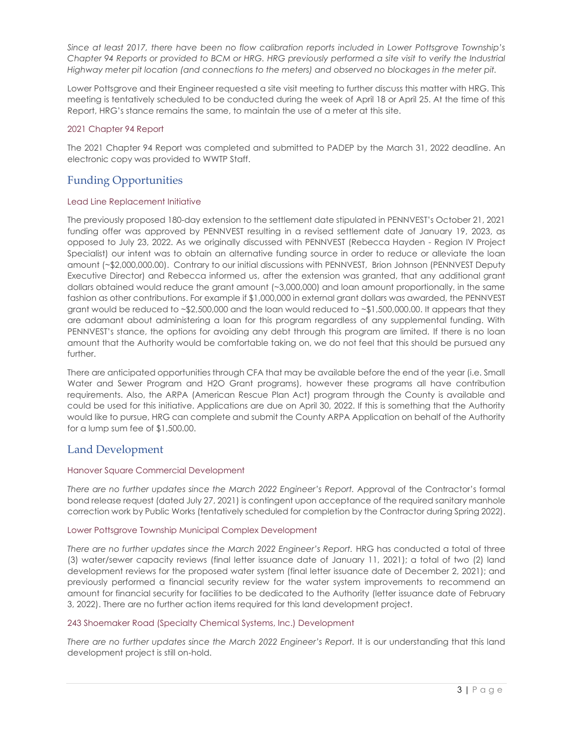*Since at least 2017, there have been no flow calibration reports included in Lower Pottsgrove Township's Chapter 94 Reports or provided to BCM or HRG. HRG previously performed a site visit to verify the Industrial Highway meter pit location (and connections to the meters) and observed no blockages in the meter pit.*

Lower Pottsgrove and their Engineer requested a site visit meeting to further discuss this matter with HRG. This meeting is tentatively scheduled to be conducted during the week of April 18 or April 25. At the time of this Report, HRG's stance remains the same, to maintain the use of a meter at this site.

### 2021 Chapter 94 Report

The 2021 Chapter 94 Report was completed and submitted to PADEP by the March 31, 2022 deadline. An electronic copy was provided to WWTP Staff.

# Funding Opportunities

### Lead Line Replacement Initiative

The previously proposed 180-day extension to the settlement date stipulated in PENNVEST's October 21, 2021 funding offer was approved by PENNVEST resulting in a revised settlement date of January 19, 2023, as opposed to July 23, 2022. As we originally discussed with PENNVEST (Rebecca Hayden - Region IV Project Specialist) our intent was to obtain an alternative funding source in order to reduce or alleviate the loan amount (~\$2,000,000.00). Contrary to our initial discussions with PENNVEST, Brion Johnson (PENNVEST Deputy Executive Director) and Rebecca informed us, after the extension was granted, that any additional grant dollars obtained would reduce the grant amount (~3,000,000) and loan amount proportionally, in the same fashion as other contributions. For example if \$1,000,000 in external grant dollars was awarded, the PENNVEST grant would be reduced to ~\$2,500,000 and the loan would reduced to ~\$1,500,000.00. It appears that they are adamant about administering a loan for this program regardless of any supplemental funding. With PENNVEST's stance, the options for avoiding any debt through this program are limited. If there is no loan amount that the Authority would be comfortable taking on, we do not feel that this should be pursued any further.

There are anticipated opportunities through CFA that may be available before the end of the year (i.e. Small Water and Sewer Program and H2O Grant programs), however these programs all have contribution requirements. Also, the ARPA (American Rescue Plan Act) program through the County is available and could be used for this initiative. Applications are due on April 30, 2022. If this is something that the Authority would like to pursue, HRG can complete and submit the County ARPA Application on behalf of the Authority for a lump sum fee of \$1,500.00.

# Land Development

### Hanover Square Commercial Development

*There are no further updates since the March 2022 Engineer's Report.* Approval of the Contractor's formal bond release request (dated July 27, 2021) is contingent upon acceptance of the required sanitary manhole correction work by Public Works (tentatively scheduled for completion by the Contractor during Spring 2022).

### Lower Pottsgrove Township Municipal Complex Development

There are no further updates since the March 2022 Engineer's Report. HRG has conducted a total of three (3) water/sewer capacity reviews (final letter issuance date of January 11, 2021); a total of two (2) land development reviews for the proposed water system (final letter issuance date of December 2, 2021); and previously performed a financial security review for the water system improvements to recommend an amount for financial security for facilities to be dedicated to the Authority (letter issuance date of February 3, 2022). There are no further action items required for this land development project.

### 243 Shoemaker Road (Specialty Chemical Systems, Inc.) Development

*There are no further updates since the March 2022 Engineer's Report.* It is our understanding that this land development project is still on-hold.